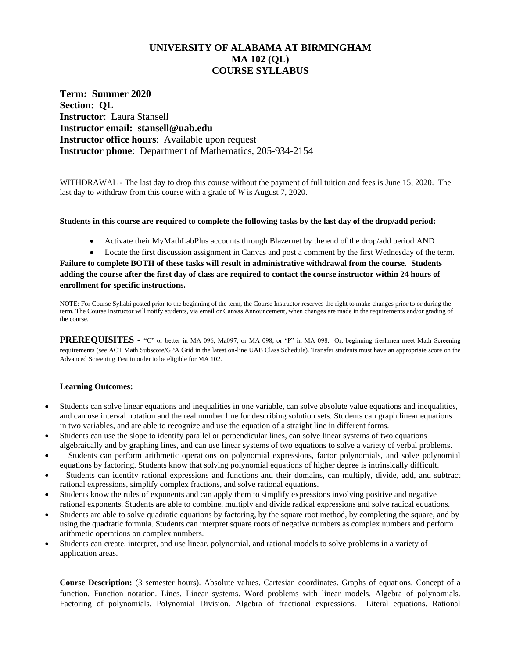# **UNIVERSITY OF ALABAMA AT BIRMINGHAM MA 102 (QL) COURSE SYLLABUS**

**Term: Summer 2020 Section: QL Instructor**: Laura Stansell **Instructor email: stansell@uab.edu Instructor office hours**: Available upon request **Instructor phone**: Department of Mathematics, 205-934-2154

WITHDRAWAL - The last day to drop this course without the payment of full tuition and fees is June 15, 2020. The last day to withdraw from this course with a grade of *W* is August 7, 2020.

#### **Students in this course are required to complete the following tasks by the last day of the drop/add period:**

• Activate their MyMathLabPlus accounts through Blazernet by the end of the drop/add period AND

• Locate the first discussion assignment in Canvas and post a comment by the first Wednesday of the term. **Failure to complete BOTH of these tasks will result in administrative withdrawal from the course. Students adding the course after the first day of class are required to contact the course instructor within 24 hours of enrollment for specific instructions.**

NOTE: For Course Syllabi posted prior to the beginning of the term, the Course Instructor reserves the right to make changes prior to or during the term. The Course Instructor will notify students, via email or Canvas Announcement, when changes are made in the requirements and/or grading of the course.

**PREREQUISITES - "C"** or better in MA 096, Ma097, or MA 098, or "P" in MA 098. Or, beginning freshmen meet Math Screening requirements (see ACT Math Subscore/GPA Grid in the latest on-line UAB Class Schedule). Transfer students must have an appropriate score on the Advanced Screening Test in order to be eligible for MA 102.

#### **Learning Outcomes:**

- Students can solve linear equations and inequalities in one variable, can solve absolute value equations and inequalities, and can use interval notation and the real number line for describing solution sets. Students can graph linear equations in two variables, and are able to recognize and use the equation of a straight line in different forms.
- Students can use the slope to identify parallel or perpendicular lines, can solve linear systems of two equations algebraically and by graphing lines, and can use linear systems of two equations to solve a variety of verbal problems.
- Students can perform arithmetic operations on polynomial expressions, factor polynomials, and solve polynomial equations by factoring. Students know that solving polynomial equations of higher degree is intrinsically difficult.
- Students can identify rational expressions and functions and their domains, can multiply, divide, add, and subtract rational expressions, simplify complex fractions, and solve rational equations.
- Students know the rules of exponents and can apply them to simplify expressions involving positive and negative rational exponents. Students are able to combine, multiply and divide radical expressions and solve radical equations.
- Students are able to solve quadratic equations by factoring, by the square root method, by completing the square, and by using the quadratic formula. Students can interpret square roots of negative numbers as complex numbers and perform arithmetic operations on complex numbers.
- Students can create, interpret, and use linear, polynomial, and rational models to solve problems in a variety of application areas.

**Course Description:** (3 semester hours). Absolute values. Cartesian coordinates. Graphs of equations. Concept of a function. Function notation. Lines. Linear systems. Word problems with linear models. Algebra of polynomials. Factoring of polynomials. Polynomial Division. Algebra of fractional expressions. Literal equations. Rational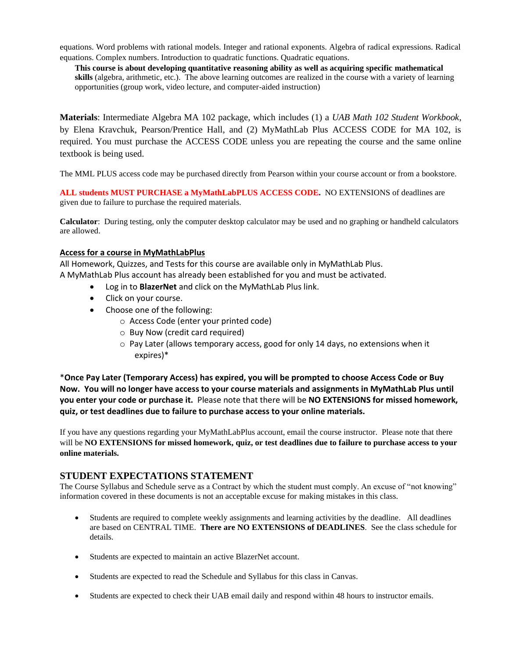equations. Word problems with rational models. Integer and rational exponents. Algebra of radical expressions. Radical equations. Complex numbers. Introduction to quadratic functions. Quadratic equations.

**This course is about developing quantitative reasoning ability as well as acquiring specific mathematical skills** (algebra, arithmetic, etc.). The above learning outcomes are realized in the course with a variety of learning opportunities (group work, video lecture, and computer-aided instruction)

**Materials**: Intermediate Algebra MA 102 package, which includes (1) a *UAB Math 102 Student Workbook*, by Elena Kravchuk, Pearson/Prentice Hall, and (2) MyMathLab Plus ACCESS CODE for MA 102, is required. You must purchase the ACCESS CODE unless you are repeating the course and the same online textbook is being used.

The MML PLUS access code may be purchased directly from Pearson within your course account or from a bookstore.

**ALL students MUST PURCHASE a MyMathLabPLUS ACCESS CODE.** NO EXTENSIONS of deadlines are given due to failure to purchase the required materials.

**Calculator**: During testing, only the computer desktop calculator may be used and no graphing or handheld calculators are allowed.

### **Access for a course in MyMathLabPlus**

All Homework, Quizzes, and Tests for this course are available only in MyMathLab Plus. A MyMathLab Plus account has already been established for you and must be activated.

- Log in to **BlazerNet** and click on the MyMathLab Plus link.
- Click on your course.
- Choose one of the following:
	- o Access Code (enter your printed code)
	- o Buy Now (credit card required)
	- $\circ$  Pay Later (allows temporary access, good for only 14 days, no extensions when it expires)\*

\***Once Pay Later (Temporary Access) has expired, you will be prompted to choose Access Code or Buy Now. You will no longer have access to your course materials and assignments in MyMathLab Plus until you enter your code or purchase it.** Please note that there will be **NO EXTENSIONS for missed homework, quiz, or test deadlines due to failure to purchase access to your online materials.**

If you have any questions regarding your MyMathLabPlus account, email the course instructor. Please note that there will be **NO EXTENSIONS for missed homework, quiz, or test deadlines due to failure to purchase access to your online materials.**

## **STUDENT EXPECTATIONS STATEMENT**

The Course Syllabus and Schedule serve as a Contract by which the student must comply. An excuse of "not knowing" information covered in these documents is not an acceptable excuse for making mistakes in this class.

- Students are required to complete weekly assignments and learning activities by the deadline. All deadlines are based on CENTRAL TIME. **There are NO EXTENSIONS of DEADLINES**. See the class schedule for details.
- Students are expected to maintain an active BlazerNet account.
- Students are expected to read the Schedule and Syllabus for this class in Canvas.
- Students are expected to check their UAB email daily and respond within 48 hours to instructor emails.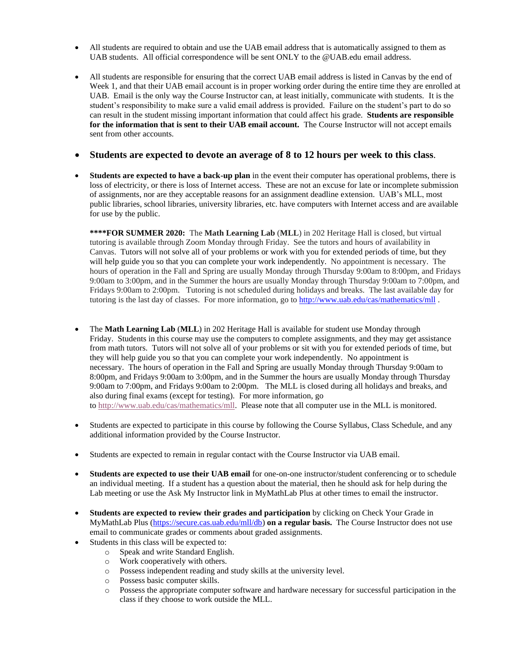- All students are required to obtain and use the UAB email address that is automatically assigned to them as UAB students. All official correspondence will be sent ONLY to the @UAB.edu email address.
- All students are responsible for ensuring that the correct UAB email address is listed in Canvas by the end of Week 1, and that their UAB email account is in proper working order during the entire time they are enrolled at UAB. Email is the only way the Course Instructor can, at least initially, communicate with students. It is the student's responsibility to make sure a valid email address is provided. Failure on the student's part to do so can result in the student missing important information that could affect his grade. **Students are responsible for the information that is sent to their UAB email account.** The Course Instructor will not accept emails sent from other accounts.

### • **Students are expected to devote an average of 8 to 12 hours per week to this class**.

• **Students are expected to have a back-up plan** in the event their computer has operational problems, there is loss of electricity, or there is loss of Internet access. These are not an excuse for late or incomplete submission of assignments, nor are they acceptable reasons for an assignment deadline extension. UAB's MLL, most public libraries, school libraries, university libraries, etc. have computers with Internet access and are available for use by the public.

**\*\*\*\*FOR SUMMER 2020:** The **Math Learning Lab** (**MLL**) in 202 Heritage Hall is closed, but virtual tutoring is available through Zoom Monday through Friday. See the tutors and hours of availability in Canvas. Tutors will not solve all of your problems or work with you for extended periods of time, but they will help guide you so that you can complete your work independently. No appointment is necessary. The hours of operation in the Fall and Spring are usually Monday through Thursday 9:00am to 8:00pm, and Fridays 9:00am to 3:00pm, and in the Summer the hours are usually Monday through Thursday 9:00am to 7:00pm, and Fridays 9:00am to 2:00pm. Tutoring is not scheduled during holidays and breaks. The last available day for tutoring is the last day of classes. For more information, go to <http://www.uab.edu/cas/mathematics/mll>.

- The **Math Learning Lab** (**MLL**) in 202 Heritage Hall is available for student use Monday through Friday. Students in this course may use the computers to complete assignments, and they may get assistance from math tutors. Tutors will not solve all of your problems or sit with you for extended periods of time, but they will help guide you so that you can complete your work independently. No appointment is necessary. The hours of operation in the Fall and Spring are usually Monday through Thursday 9:00am to 8:00pm, and Fridays 9:00am to 3:00pm, and in the Summer the hours are usually Monday through Thursday 9:00am to 7:00pm, and Fridays 9:00am to 2:00pm. The MLL is closed during all holidays and breaks, and also during final exams (except for testing). For more information, go to [http://www.uab.edu/cas/mathematics/mll.](http://www.uab.edu/cas/mathematics/mll) Please note that all computer use in the MLL is monitored.
- Students are expected to participate in this course by following the Course Syllabus, Class Schedule, and any additional information provided by the Course Instructor.
- Students are expected to remain in regular contact with the Course Instructor via UAB email.
- **Students are expected to use their UAB email** for one-on-one instructor/student conferencing or to schedule an individual meeting. If a student has a question about the material, then he should ask for help during the Lab meeting or use the Ask My Instructor link in MyMathLab Plus at other times to email the instructor.
- **Students are expected to review their grades and participation** by clicking on Check Your Grade in MyMathLab Plus [\(https://secure.cas.uab.edu/mll/db\)](https://secure.cas.uab.edu/mll/db) **on a regular basis.** The Course Instructor does not use email to communicate grades or comments about graded assignments.
- Students in this class will be expected to:
	- o Speak and write Standard English.
	- o Work cooperatively with others.
	- o Possess independent reading and study skills at the university level.
	- o Possess basic computer skills.
	- o Possess the appropriate computer software and hardware necessary for successful participation in the class if they choose to work outside the MLL.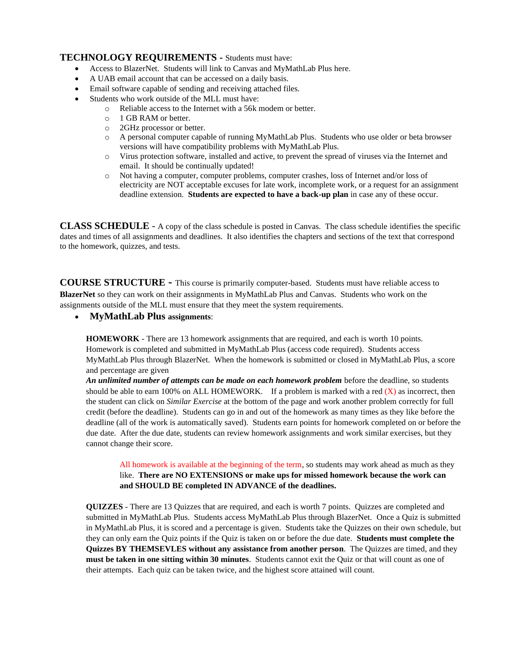## **TECHNOLOGY REQUIREMENTS -** Students must have:

- Access to BlazerNet. Students will link to Canvas and MyMathLab Plus here.
- A UAB email account that can be accessed on a daily basis.
- Email software capable of sending and receiving attached files.
- Students who work outside of the MLL must have:
	- o Reliable access to the Internet with a 56k modem or better.
	- o 1 GB RAM or better.
	- o 2GHz processor or better.
	- o A personal computer capable of running MyMathLab Plus. Students who use older or beta browser versions will have compatibility problems with MyMathLab Plus.
	- o Virus protection software, installed and active, to prevent the spread of viruses via the Internet and email. It should be continually updated!
	- o Not having a computer, computer problems, computer crashes, loss of Internet and/or loss of electricity are NOT acceptable excuses for late work, incomplete work, or a request for an assignment deadline extension. **Students are expected to have a back-up plan** in case any of these occur.

**CLASS SCHEDULE** - A copy of the class schedule is posted in Canvas. The class schedule identifies the specific dates and times of all assignments and deadlines. It also identifies the chapters and sections of the text that correspond to the homework, quizzes, and tests.

**COURSE STRUCTURE -** This course is primarily computer-based. Students must have reliable access to **BlazerNet** so they can work on their assignments in MyMathLab Plus and Canvas. Students who work on the assignments outside of the MLL must ensure that they meet the system requirements.

## • **MyMathLab Plus assignments**:

**HOMEWORK** - There are 13 homework assignments that are required, and each is worth 10 points. Homework is completed and submitted in MyMathLab Plus (access code required). Students access MyMathLab Plus through BlazerNet. When the homework is submitted or closed in MyMathLab Plus, a score and percentage are given

*An unlimited number of attempts can be made on each homework problem* before the deadline, so students should be able to earn 100% on ALL HOMEWORK. If a problem is marked with a red  $(X)$  as incorrect, then the student can click on *Similar Exercise* at the bottom of the page and work another problem correctly for full credit (before the deadline). Students can go in and out of the homework as many times as they like before the deadline (all of the work is automatically saved). Students earn points for homework completed on or before the due date. After the due date, students can review homework assignments and work similar exercises, but they cannot change their score.

All homework is available at the beginning of the term, so students may work ahead as much as they like. **There are NO EXTENSIONS or make ups for missed homework because the work can and SHOULD BE completed IN ADVANCE of the deadlines.**

**QUIZZES** - There are 13 Quizzes that are required, and each is worth 7 points. Quizzes are completed and submitted in MyMathLab Plus. Students access MyMathLab Plus through BlazerNet. Once a Quiz is submitted in MyMathLab Plus, it is scored and a percentage is given. Students take the Quizzes on their own schedule, but they can only earn the Quiz points if the Quiz is taken on or before the due date. **Students must complete the Quizzes BY THEMSEVLES without any assistance from another person**. The Quizzes are timed, and they **must be taken in one sitting within 30 minutes**. Students cannot exit the Quiz or that will count as one of their attempts. Each quiz can be taken twice, and the highest score attained will count.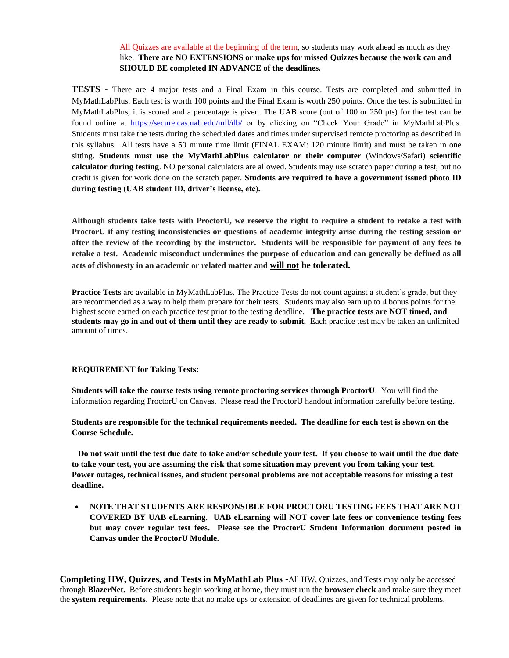### All Quizzes are available at the beginning of the term, so students may work ahead as much as they like. **There are NO EXTENSIONS or make ups for missed Quizzes because the work can and SHOULD BE completed IN ADVANCE of the deadlines.**

**TESTS -** There are 4 major tests and a Final Exam in this course. Tests are completed and submitted in MyMathLabPlus. Each test is worth 100 points and the Final Exam is worth 250 points. Once the test is submitted in MyMathLabPlus, it is scored and a percentage is given. The UAB score (out of 100 or 250 pts) for the test can be found online at <https://secure.cas.uab.edu/mll/db/> or by clicking on "Check Your Grade" in MyMathLabPlus. Students must take the tests during the scheduled dates and times under supervised remote proctoring as described in this syllabus. All tests have a 50 minute time limit (FINAL EXAM: 120 minute limit) and must be taken in one sitting. **Students must use the MyMathLabPlus calculator or their computer** (Windows/Safari) **scientific calculator during testing**. NO personal calculators are allowed. Students may use scratch paper during a test, but no credit is given for work done on the scratch paper. **Students are required to have a government issued photo ID during testing (UAB student ID, driver's license, etc).**

**Although students take tests with ProctorU, we reserve the right to require a student to retake a test with ProctorU if any testing inconsistencies or questions of academic integrity arise during the testing session or after the review of the recording by the instructor. Students will be responsible for payment of any fees to retake a test. Academic misconduct undermines the purpose of education and can generally be defined as all acts of dishonesty in an academic or related matter and will not be tolerated.**

**Practice Tests** are available in MyMathLabPlus. The Practice Tests do not count against a student's grade, but they are recommended as a way to help them prepare for their tests. Students may also earn up to 4 bonus points for the highest score earned on each practice test prior to the testing deadline. **The practice tests are NOT timed, and students may go in and out of them until they are ready to submit.** Each practice test may be taken an unlimited amount of times.

#### **REQUIREMENT for Taking Tests:**

**Students will take the course tests using remote proctoring services through ProctorU**. You will find the information regarding ProctorU on Canvas. Please read the ProctorU handout information carefully before testing.

**Students are responsible for the technical requirements needed. The deadline for each test is shown on the Course Schedule.**

 **Do not wait until the test due date to take and/or schedule your test. If you choose to wait until the due date to take your test, you are assuming the risk that some situation may prevent you from taking your test. Power outages, technical issues, and student personal problems are not acceptable reasons for missing a test deadline.**

• **NOTE THAT STUDENTS ARE RESPONSIBLE FOR PROCTORU TESTING FEES THAT ARE NOT COVERED BY UAB eLearning. UAB eLearning will NOT cover late fees or convenience testing fees but may cover regular test fees. Please see the ProctorU Student Information document posted in Canvas under the ProctorU Module.**

**Completing HW, Quizzes, and Tests in MyMathLab Plus -**All HW, Quizzes, and Tests may only be accessed through **BlazerNet.** Before students begin working at home, they must run the **browser check** and make sure they meet the **system requirements**. Please note that no make ups or extension of deadlines are given for technical problems.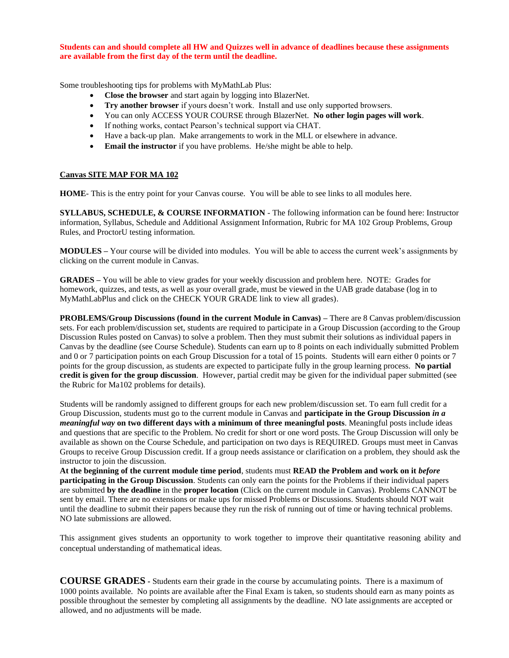**Students can and should complete all HW and Quizzes well in advance of deadlines because these assignments are available from the first day of the term until the deadline.**

Some troubleshooting tips for problems with MyMathLab Plus:

- **Close the browser** and start again by logging into BlazerNet.
- **Try another browser** if yours doesn't work. Install and use only supported browsers.
- You can only ACCESS YOUR COURSE through BlazerNet. **No other login pages will work**.
- If nothing works, contact Pearson's technical support via CHAT.
- Have a back-up plan. Make arrangements to work in the MLL or elsewhere in advance.
- **Email the instructor** if you have problems. He/she might be able to help.

#### **Canvas SITE MAP FOR MA 102**

**HOME**- This is the entry point for your Canvas course. You will be able to see links to all modules here.

**SYLLABUS, SCHEDULE, & COURSE INFORMATION** - The following information can be found here: Instructor information, Syllabus, Schedule and Additional Assignment Information, Rubric for MA 102 Group Problems, Group Rules, and ProctorU testing information.

**MODULES –** Your course will be divided into modules. You will be able to access the current week's assignments by clicking on the current module in Canvas.

**GRADES –** You will be able to view grades for your weekly discussion and problem here. NOTE: Grades for homework, quizzes, and tests, as well as your overall grade, must be viewed in the UAB grade database (log in to MyMathLabPlus and click on the CHECK YOUR GRADE link to view all grades).

**PROBLEMS/Group Discussions (found in the current Module in Canvas) –** There are 8 Canvas problem/discussion sets. For each problem/discussion set, students are required to participate in a Group Discussion (according to the Group Discussion Rules posted on Canvas) to solve a problem. Then they must submit their solutions as individual papers in Canvas by the deadline (see Course Schedule). Students can earn up to 8 points on each individually submitted Problem and 0 or 7 participation points on each Group Discussion for a total of 15 points. Students will earn either 0 points or 7 points for the group discussion, as students are expected to participate fully in the group learning process. **No partial credit is given for the group discussion**. However, partial credit may be given for the individual paper submitted (see the Rubric for Ma102 problems for details).

Students will be randomly assigned to different groups for each new problem/discussion set. To earn full credit for a Group Discussion, students must go to the current module in Canvas and **participate in the Group Discussion** *in a meaningful way* **on two different days with a minimum of three meaningful posts**. Meaningful posts include ideas and questions that are specific to the Problem. No credit for short or one word posts. The Group Discussion will only be available as shown on the Course Schedule, and participation on two days is REQUIRED. Groups must meet in Canvas Groups to receive Group Discussion credit. If a group needs assistance or clarification on a problem, they should ask the instructor to join the discussion.

**At the beginning of the current module time period**, students must **READ the Problem and work on it** *before*  **participating in the Group Discussion**. Students can only earn the points for the Problems if their individual papers are submitted **by the deadline** in the **proper location** (Click on the current module in Canvas). Problems CANNOT be sent by email. There are no extensions or make ups for missed Problems or Discussions. Students should NOT wait until the deadline to submit their papers because they run the risk of running out of time or having technical problems. NO late submissions are allowed.

This assignment gives students an opportunity to work together to improve their quantitative reasoning ability and conceptual understanding of mathematical ideas.

**COURSE GRADES -** Students earn their grade in the course by accumulating points. There is a maximum of 1000 points available. No points are available after the Final Exam is taken, so students should earn as many points as possible throughout the semester by completing all assignments by the deadline. NO late assignments are accepted or allowed, and no adjustments will be made.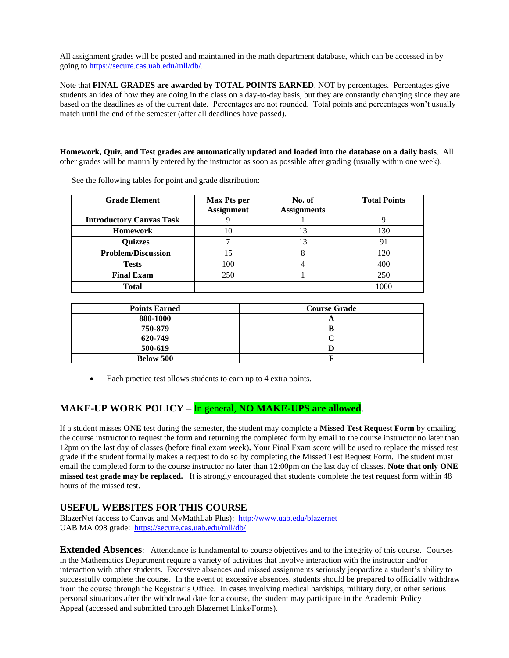All assignment grades will be posted and maintained in the math department database, which can be accessed in by going t[o https://secure.cas.uab.edu/mll/db/.](https://secure.cas.uab.edu/mll/db/)

Note that **FINAL GRADES are awarded by TOTAL POINTS EARNED**, NOT by percentages. Percentages give students an idea of how they are doing in the class on a day-to-day basis, but they are constantly changing since they are based on the deadlines as of the current date. Percentages are not rounded. Total points and percentages won't usually match until the end of the semester (after all deadlines have passed).

**Homework, Quiz, and Test grades are automatically updated and loaded into the database on a daily basis**. All other grades will be manually entered by the instructor as soon as possible after grading (usually within one week).

| <b>Grade Element</b>            | <b>Max Pts per</b><br><b>Assignment</b> | No. of<br><b>Assignments</b> | <b>Total Points</b> |
|---------------------------------|-----------------------------------------|------------------------------|---------------------|
| <b>Introductory Canvas Task</b> |                                         |                              |                     |
| <b>Homework</b>                 |                                         | 13                           | 130                 |
| <b>Quizzes</b>                  |                                         | 13                           | 91                  |
| <b>Problem/Discussion</b>       | 15                                      |                              | 120                 |
| <b>Tests</b>                    | 100                                     |                              | 400                 |
| <b>Final Exam</b>               | 250                                     |                              | 250                 |
| <b>Total</b>                    |                                         |                              | 1000                |

See the following tables for point and grade distribution:

| <b>Points Earned</b> | <b>Course Grade</b> |  |
|----------------------|---------------------|--|
| 880-1000             |                     |  |
| 750-879              |                     |  |
| 620-749              |                     |  |
| 500-619              |                     |  |
| <b>Below 500</b>     |                     |  |

• Each practice test allows students to earn up to 4 extra points.

# **MAKE-UP WORK POLICY –** In general, **NO MAKE-UPS are allowed**.

If a student misses **ONE** test during the semester, the student may complete a **Missed Test Request Form** by emailing the course instructor to request the form and returning the completed form by email to the course instructor no later than 12pm on the last day of classes (before final exam week)**.** Your Final Exam score will be used to replace the missed test grade if the student formally makes a request to do so by completing the Missed Test Request Form. The student must email the completed form to the course instructor no later than 12:00pm on the last day of classes. **Note that only ONE missed test grade may be replaced.** It is strongly encouraged that students complete the test request form within 48 hours of the missed test.

## **USEFUL WEBSITES FOR THIS COURSE**

BlazerNet (access to Canvas and MyMathLab Plus): <http://www.uab.edu/blazernet> UAB MA 098 grade:<https://secure.cas.uab.edu/mll/db/>

**Extended Absences**: Attendance is fundamental to course objectives and to the integrity of this course. Courses in the Mathematics Department require a variety of activities that involve interaction with the instructor and/or interaction with other students. Excessive absences and missed assignments seriously jeopardize a student's ability to successfully complete the course. In the event of excessive absences, students should be prepared to officially withdraw from the course through the Registrar's Office. In cases involving medical hardships, military duty, or other serious personal situations after the withdrawal date for a course, the student may participate in the Academic Policy Appeal (accessed and submitted through Blazernet Links/Forms).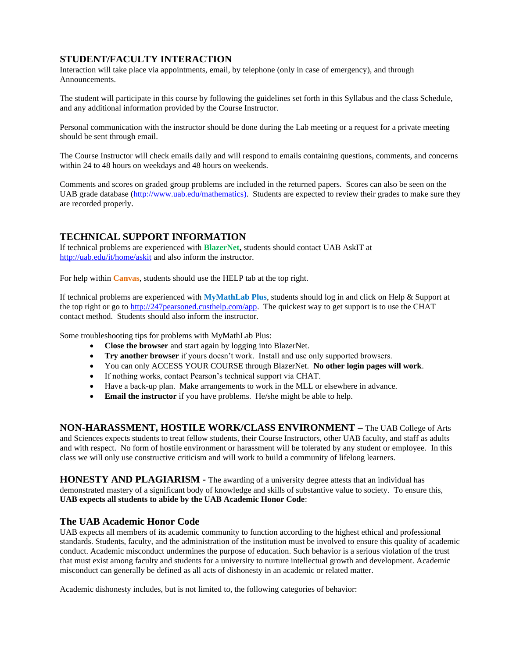# **STUDENT/FACULTY INTERACTION**

Interaction will take place via appointments, email, by telephone (only in case of emergency), and through Announcements.

The student will participate in this course by following the guidelines set forth in this Syllabus and the class Schedule, and any additional information provided by the Course Instructor.

Personal communication with the instructor should be done during the Lab meeting or a request for a private meeting should be sent through email.

The Course Instructor will check emails daily and will respond to emails containing questions, comments, and concerns within 24 to 48 hours on weekdays and 48 hours on weekends.

Comments and scores on graded group problems are included in the returned papers. Scores can also be seen on the UAB grade database [\(http://www.uab.edu/mathematics\)](http://www.uab.edu/mathematics). Students are expected to review their grades to make sure they are recorded properly.

## **TECHNICAL SUPPORT INFORMATION**

If technical problems are experienced with **BlazerNet,** students should contact UAB AskIT at <http://uab.edu/it/home/askit> and also inform the instructor.

For help within **Canvas**, students should use the HELP tab at the top right.

If technical problems are experienced with **MyMathLab Plus**, students should log in and click on Help & Support at the top right or go to [http://247pearsoned.custhelp.com/app.](http://247pearsoned.custhelp.com/app) The quickest way to get support is to use the CHAT contact method. Students should also inform the instructor.

Some troubleshooting tips for problems with MyMathLab Plus:

- **Close the browser** and start again by logging into BlazerNet.
- **Try another browser** if yours doesn't work. Install and use only supported browsers.
- You can only ACCESS YOUR COURSE through BlazerNet. **No other login pages will work**.
- If nothing works, contact Pearson's technical support via CHAT.
- Have a back-up plan. Make arrangements to work in the MLL or elsewhere in advance.
- **Email the instructor** if you have problems. He/she might be able to help.

**NON-HARASSMENT, HOSTILE WORK/CLASS ENVIRONMENT –** The UAB College of Arts and Sciences expects students to treat fellow students, their Course Instructors, other UAB faculty, and staff as adults and with respect. No form of hostile environment or harassment will be tolerated by any student or employee. In this class we will only use constructive criticism and will work to build a community of lifelong learners.

**HONESTY AND PLAGIARISM -** The awarding of a university degree attests that an individual has demonstrated mastery of a significant body of knowledge and skills of substantive value to society. To ensure this, **UAB expects all students to abide by the UAB Academic Honor Code**:

## **The UAB Academic Honor Code**

UAB expects all members of its academic community to function according to the highest ethical and professional standards. Students, faculty, and the administration of the institution must be involved to ensure this quality of academic conduct. Academic misconduct undermines the purpose of education. Such behavior is a serious violation of the trust that must exist among faculty and students for a university to nurture intellectual growth and development. Academic misconduct can generally be defined as all acts of dishonesty in an academic or related matter.

Academic dishonesty includes, but is not limited to, the following categories of behavior: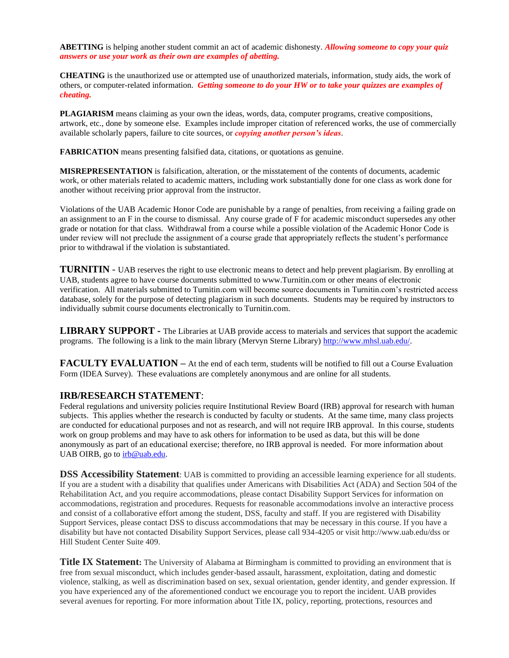**ABETTING** is helping another student commit an act of academic dishonesty. *Allowing someone to copy your quiz answers or use your work as their own are examples of abetting.*

**CHEATING** is the unauthorized use or attempted use of unauthorized materials, information, study aids, the work of others, or computer-related information. *Getting someone to do your HW or to take your quizzes are examples of cheating.*

**PLAGIARISM** means claiming as your own the ideas, words, data, computer programs, creative compositions, artwork, etc., done by someone else. Examples include improper citation of referenced works, the use of commercially available scholarly papers, failure to cite sources, or *copying another person's ideas*.

**FABRICATION** means presenting falsified data, citations, or quotations as genuine.

**MISREPRESENTATION** is falsification, alteration, or the misstatement of the contents of documents, academic work, or other materials related to academic matters, including work substantially done for one class as work done for another without receiving prior approval from the instructor.

Violations of the UAB Academic Honor Code are punishable by a range of penalties, from receiving a failing grade on an assignment to an F in the course to dismissal. Any course grade of F for academic misconduct supersedes any other grade or notation for that class. Withdrawal from a course while a possible violation of the Academic Honor Code is under review will not preclude the assignment of a course grade that appropriately reflects the student's performance prior to withdrawal if the violation is substantiated.

**TURNITIN** - UAB reserves the right to use electronic means to detect and help prevent plagiarism. By enrolling at UAB, students agree to have course documents submitted to www.Turnitin.com or other means of electronic verification. All materials submitted to Turnitin.com will become source documents in Turnitin.com's restricted access database, solely for the purpose of detecting plagiarism in such documents. Students may be required by instructors to individually submit course documents electronically to Turnitin.com.

**LIBRARY SUPPORT -** The Libraries at UAB provide access to materials and services that support the academic programs. The following is a link to the main library (Mervyn Sterne Library) [http://www.mhsl.uab.edu/.](http://www.mhsl.uab.edu/)

**FACULTY EVALUATION** – At the end of each term, students will be notified to fill out a Course Evaluation Form (IDEA Survey). These evaluations are completely anonymous and are online for all students.

## **IRB/RESEARCH STATEMENT**:

Federal regulations and university policies require Institutional Review Board (IRB) approval for research with human subjects. This applies whether the research is conducted by faculty or students. At the same time, many class projects are conducted for educational purposes and not as research, and will not require IRB approval. In this course, students work on group problems and may have to ask others for information to be used as data, but this will be done anonymously as part of an educational exercise; therefore, no IRB approval is needed. For more information about UAB OIRB, go to [irb@uab.edu.](mailto:irb@uab.edu)

**DSS Accessibility Statement**: UAB is committed to providing an accessible learning experience for all students. If you are a student with a disability that qualifies under Americans with Disabilities Act (ADA) and Section 504 of the Rehabilitation Act, and you require accommodations, please contact Disability Support Services for information on accommodations, registration and procedures. Requests for reasonable accommodations involve an interactive process and consist of a collaborative effort among the student, DSS, faculty and staff. If you are registered with Disability Support Services, please contact DSS to discuss accommodations that may be necessary in this course. If you have a disability but have not contacted Disability Support Services, please call 934-4205 or visit http://www.uab.edu/dss or Hill Student Center Suite 409.

**Title IX Statement:** The University of Alabama at Birmingham is committed to providing an environment that is free from sexual misconduct, which includes gender-based assault, harassment, exploitation, dating and domestic violence, stalking, as well as discrimination based on sex, sexual orientation, gender identity, and gender expression. If you have experienced any of the aforementioned conduct we encourage you to report the incident. UAB provides several avenues for reporting. For more information about Title IX, policy, reporting, protections, resources and